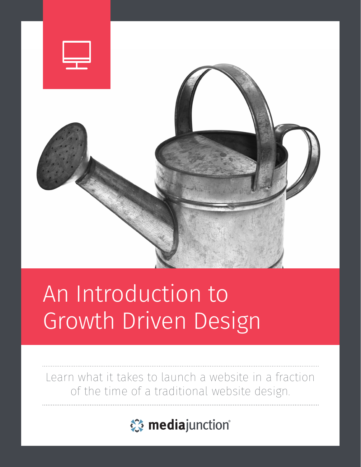

# An Introduction to Growth Driven Design

Learn what it takes to launch a website in a fraction of the time of a traditional website design.

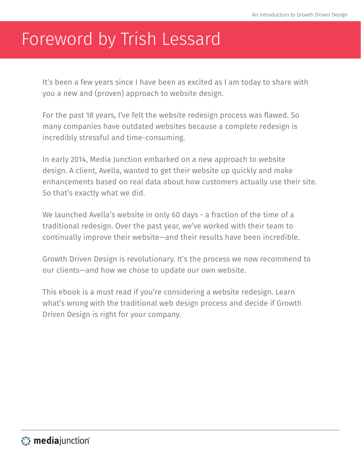## Foreword by Trish Lessard

It's been a few years since I have been as excited as I am today to share with you a new and (proven) approach to website design.

For the past 18 years, I've felt the website redesign process was flawed. So many companies have outdated websites because a complete redesign is incredibly stressful and time-consuming.

In early 2014, Media Junction embarked on a new approach to website design. A client, Avella, wanted to get their website up quickly and make enhancements based on real data about how customers actually use their site. So that's exactly what we did.

We launched Avella's website in only 60 days - a fraction of the time of a traditional redesign. Over the past year, we've worked with their team to continually improve their website—and their results have been incredible.

Growth Driven Design is revolutionary. It's the process we now recommend to our clients—and how we chose to update our own website.

This ebook is a must read if you're considering a website redesign. Learn what's wrong with the traditional web design process and decide if Growth Driven Design is right for your company.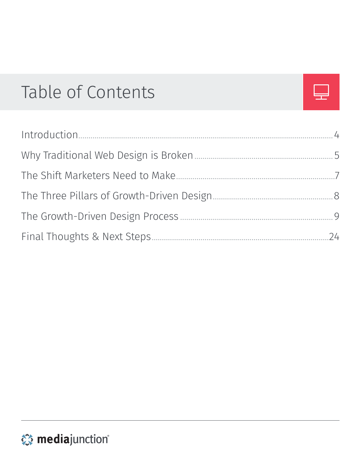## <span id="page-2-0"></span>Table of Contents



|                              | 4    |
|------------------------------|------|
|                              | $-5$ |
|                              |      |
|                              |      |
|                              | - 9  |
| Final Thoughts & Next Steps. | 74   |

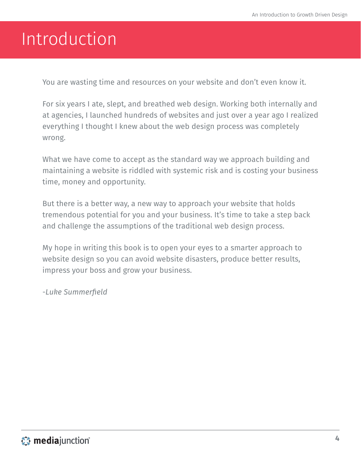## <span id="page-3-0"></span>Introduction

You are wasting time and resources on your website and don't even know it.

For six years I ate, slept, and breathed web design. Working both internally and at agencies, I launched hundreds of websites and just over a year ago I realized everything I thought I knew about the web design process was completely wrong.

What we have come to accept as the standard way we approach building and maintaining a website is riddled with systemic risk and is costing your business time, money and opportunity.

But there is a better way, a new way to approach your website that holds tremendous potential for you and your business. It's time to take a step back and challenge the assumptions of the traditional web design process.

My hope in writing this book is to open your eyes to a smarter approach to website design so you can avoid website disasters, produce better results, impress your boss and grow your business.

*-Luke Summerfield*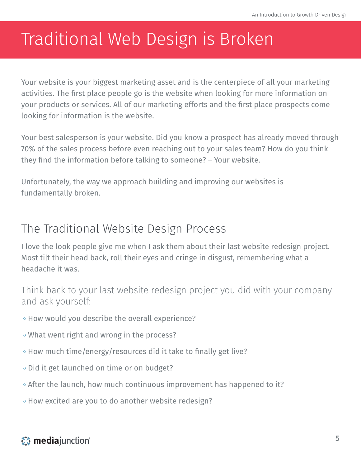## <span id="page-4-0"></span>Traditional Web Design is Broken

Your website is your biggest marketing asset and is the centerpiece of all your marketing activities. The first place people go is the website when looking for more information on your products or services. All of our marketing efforts and the first place prospects come looking for information is the website.

Your best salesperson is your website. Did you know a prospect has already moved through 70% of the sales process before even reaching out to your sales team? How do you think they find the information before talking to someone? – Your website.

Unfortunately, the way we approach building and improving our websites is fundamentally broken.

#### The Traditional Website Design Process

I love the look people give me when I ask them about their last website redesign project. Most tilt their head back, roll their eyes and cringe in disgust, remembering what a headache it was.

Think back to your last website redesign project you did with your company and ask yourself:

- How would you describe the overall experience?
- What went right and wrong in the process?
- How much time/energy/resources did it take to finally get live?
- Did it get launched on time or on budget?
- $\circ$  After the launch, how much continuous improvement has happened to it?
- How excited are you to do another website redesign?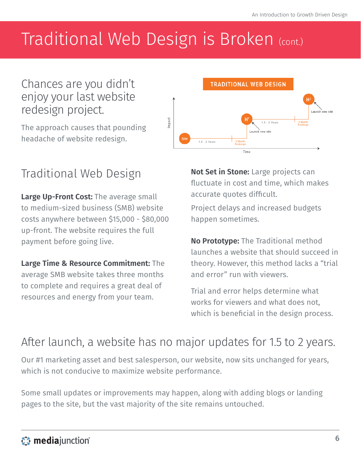## Traditional Web Design is Broken (cont.)

#### Chances are you didn't enjoy your last website redesign project.

The approach causes that pounding headache of website redesign.



### Traditional Web Design

**Large Up-Front Cost:** The average small to medium-sized business (SMB) website costs anywhere between \$15,000 - \$80,000 up-front. The website requires the full payment before going live.

**Large Time & Resource Commitment:** The average SMB website takes three months to complete and requires a great deal of resources and energy from your team.

**Not Set in Stone:** Large projects can fluctuate in cost and time, which makes accurate quotes difficult.

Project delays and increased budgets happen sometimes.

**No Prototype:** The Traditional method launches a website that should succeed in theory. However, this method lacks a "trial and error" run with viewers.

Trial and error helps determine what works for viewers and what does not, which is beneficial in the design process.

### After launch, a website has no major updates for 1.5 to 2 years.

Our #1 marketing asset and best salesperson, our website, now sits unchanged for years, which is not conducive to maximize website performance.

Some small updates or improvements may happen, along with adding blogs or landing pages to the site, but the vast majority of the site remains untouched.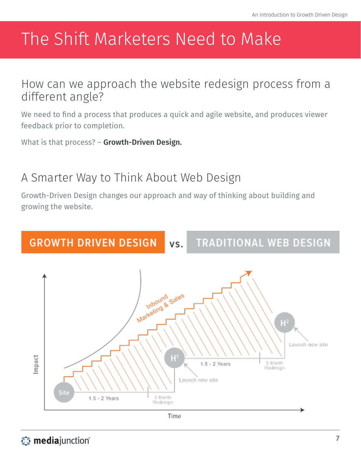## <span id="page-6-0"></span>The Shift Marketers Need to Make

How can we approach the website redesign process from a different angle?

We need to find a process that produces a quick and agile website, and produces viewer feedback prior to completion.

What is that process? – **Growth-Driven Design.**

#### A Smarter Way to Think About Web Design

Growth-Driven Design changes our approach and way of thinking about building and growing the website.

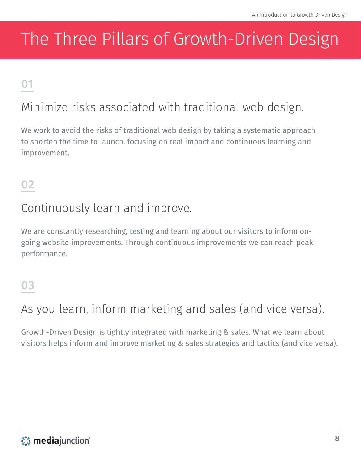## <span id="page-7-0"></span>The Three Pillars of Growth-Driven Design

### **01**

### Minimize risks associated with traditional web design.

We work to avoid the risks of traditional web design by taking a systematic approach to shorten the time to launch, focusing on real impact and continuous learning and improvement.

#### **02**

#### Continuously learn and improve.

We are constantly researching, testing and learning about our visitors to inform ongoing website improvements. Through continuous improvements we can reach peak performance.

#### **03**

### As you learn, inform marketing and sales (and vice versa).

Growth-Driven Design is tightly integrated with marketing & sales. What we learn about visitors helps inform and improve marketing & sales strategies and tactics (and vice versa).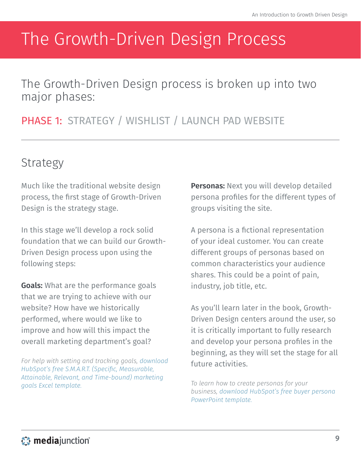## <span id="page-8-0"></span>The Growth-Driven Design Process

The Growth-Driven Design process is broken up into two major phases:

#### PHASE 1: STRATEGY / WISHLIST / LAUNCH PAD WEBSITE

### Strategy

Much like the traditional website design process, the first stage of Growth-Driven Design is the strategy stage.

In this stage we'll develop a rock solid foundation that we can build our Growth-Driven Design process upon using the following steps:

**Goals:** What are the performance goals that we are trying to achieve with our website? How have we historically performed, where would we like to improve and how will this impact the overall marketing department's goal?

*For help with setting and tracking goals, [download](http://offers.hubspot.com/how-to-determine-your-smart-marketing-goals)  [HubSpot's free S.M.A.R.T. \(Specific, Measurable,](http://offers.hubspot.com/how-to-determine-your-smart-marketing-goals)  [Attainable, Relevant, and Time-bound\) marketing](http://offers.hubspot.com/how-to-determine-your-smart-marketing-goals)  [goals Excel template.](http://offers.hubspot.com/how-to-determine-your-smart-marketing-goals)*

**Personas:** Next you will develop detailed persona profiles for the different types of groups visiting the site.

A persona is a fictional representation of your ideal customer. You can create different groups of personas based on common characteristics your audience shares. This could be a point of pain, industry, job title, etc.

As you'll learn later in the book, Growth-Driven Design centers around the user, so it is critically important to fully research and develop your persona profiles in the beginning, as they will set the stage for all future activities.

*To learn how to create personas for your business, [download HubSpot's free buyer persona](http://offers.hubspot.com/free-template-creating-buyer-personas)  [PowerPoint template](http://offers.hubspot.com/free-template-creating-buyer-personas).*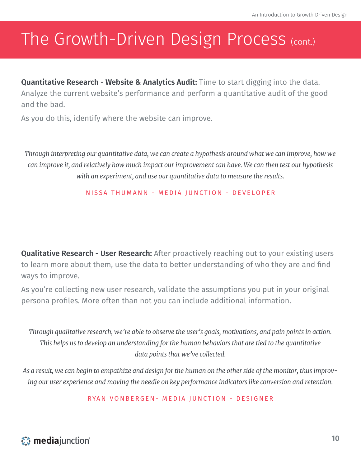**Quantitative Research - Website & Analytics Audit:** Time to start digging into the data. Analyze the current website's performance and perform a quantitative audit of the good and the bad.

As you do this, identify where the website can improve.

*Through interpreting our quantitative data, we can create a hypothesis around what we can improve, how we can improve it, and relatively how much impact our improvement can have. We can then test our hypothesis with an experiment, and use our quantitative data to measure the results.*

NISSA THUMANN - MEDIA JUNCTION - DEVELOPER

**Qualitative Research - User Research:** After proactively reaching out to your existing users to learn more about them, use the data to better understanding of who they are and find ways to improve.

As you're collecting new user research, validate the assumptions you put in your original persona profiles. More often than not you can include additional information.

*Through qualitative research, we're able to observe the user's goals, motivations, and pain points in action. This helps us to develop an understanding for the human behaviors that are tied to the quantitative data points that we've collected.*

*As a result, we can begin to empathize and design for the human on the other side of the monitor, thus improving our user experience and moving the needle on key performance indicators like conversion and retention.*

RYAN VONBERGEN- MEDIA JUNCTION - DESIGNER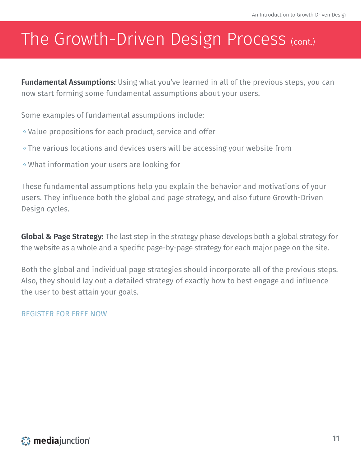**Fundamental Assumptions:** Using what you've learned in all of the previous steps, you can now start forming some fundamental assumptions about your users.

Some examples of fundamental assumptions include:

- Value propositions for each product, service and offer
- The various locations and devices users will be accessing your website from
- What information your users are looking for

These fundamental assumptions help you explain the behavior and motivations of your users. They influence both the global and page strategy, and also future Growth-Driven Design cycles.

**Global & Page Strategy:** The last step in the strategy phase develops both a global strategy for the website as a whole and a specific page-by-page strategy for each major page on the site.

Both the global and individual page strategies should incorporate all of the previous steps. Also, they should lay out a detailed strategy of exactly how to best engage and influence the user to best attain your goals.

#### [REGISTER FOR FREE NOW](http://hubs.ly/y0XL_F0)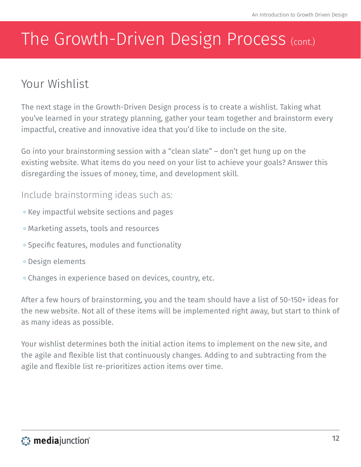### Your Wishlist

The next stage in the Growth-Driven Design process is to create a wishlist. Taking what you've learned in your strategy planning, gather your team together and brainstorm every impactful, creative and innovative idea that you'd like to include on the site.

Go into your brainstorming session with a "clean slate" – don't get hung up on the existing website. What items do you need on your list to achieve your goals? Answer this disregarding the issues of money, time, and development skill.

#### Include brainstorming ideas such as:

- $\circ$  Key impactful website sections and pages
- Marketing assets, tools and resources
- $\circ$  Specific features, modules and functionality
- Design elements
- Changes in experience based on devices, country, etc.

After a few hours of brainstorming, you and the team should have a list of 50-150+ ideas for the new website. Not all of these items will be implemented right away, but start to think of as many ideas as possible.

Your wishlist determines both the initial action items to implement on the new site, and the agile and flexible list that continuously changes. Adding to and subtracting from the agile and flexible list re-prioritizes action items over time.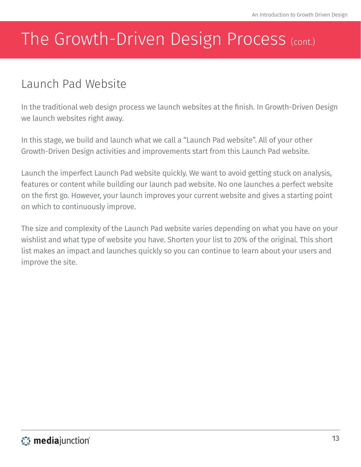### Launch Pad Website

In the traditional web design process we launch websites at the finish. In Growth-Driven Design we launch websites right away.

In this stage, we build and launch what we call a "Launch Pad website". All of your other Growth-Driven Design activities and improvements start from this Launch Pad website.

Launch the imperfect Launch Pad website quickly. We want to avoid getting stuck on analysis, features or content while building our launch pad website. No one launches a perfect website on the first go. However, your launch improves your current website and gives a starting point on which to continuously improve.

The size and complexity of the Launch Pad website varies depending on what you have on your wishlist and what type of website you have. Shorten your list to 20% of the original. This short list makes an impact and launches quickly so you can continue to learn about your users and improve the site.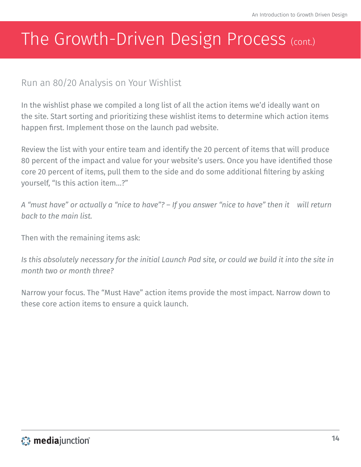#### Run an 80/20 Analysis on Your Wishlist

In the wishlist phase we compiled a long list of all the action items we'd ideally want on the site. Start sorting and prioritizing these wishlist items to determine which action items happen first. Implement those on the launch pad website.

Review the list with your entire team and identify the 20 percent of items that will produce 80 percent of the impact and value for your website's users. Once you have identified those core 20 percent of items, pull them to the side and do some additional filtering by asking yourself, "Is this action item…?"

*A "must have" or actually a "nice to have"? – If you answer "nice to have" then it will return back to the main list.*

Then with the remaining items ask:

*Is this absolutely necessary for the initial Launch Pad site, or could we build it into the site in month two or month three?*

Narrow your focus. The "Must Have" action items provide the most impact. Narrow down to these core action items to ensure a quick launch.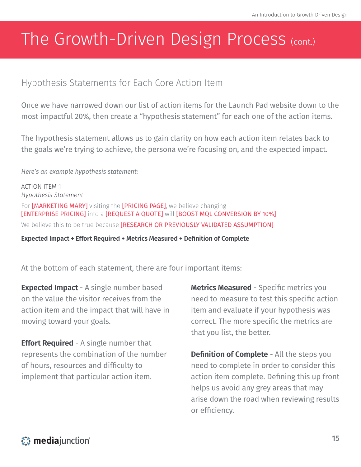#### Hypothesis Statements for Each Core Action Item

Once we have narrowed down our list of action items for the Launch Pad website down to the most impactful 20%, then create a "hypothesis statement" for each one of the action items.

The hypothesis statement allows us to gain clarity on how each action item relates back to the goals we're trying to achieve, the persona we're focusing on, and the expected impact.

#### *Here's an example hypothesis statement:*

ACTION ITEM 1 *Hypothesis Statement* For [MARKETING MARY] visiting the [PRICING PAGE], we believe changing [ENTERPRISE PRICING] into a [REQUEST A QUOTE] will [BOOST MQL CONVERSION BY 10%] We believe this to be true because [RESEARCH OR PREVIOUSLY VALIDATED ASSUMPTION]

**Expected Impact + Effort Required + Metrics Measured + Definition of Complete**

At the bottom of each statement, there are four important items:

**Expected Impact** - A single number based on the value the visitor receives from the action item and the impact that will have in moving toward your goals.

**Effort Required** - A single number that represents the combination of the number of hours, resources and difficulty to implement that particular action item.

**Metrics Measured** - Specific metrics you need to measure to test this specific action item and evaluate if your hypothesis was correct. The more specific the metrics are that you list, the better.

**Definition of Complete** - All the steps you need to complete in order to consider this action item complete. Defining this up front helps us avoid any grey areas that may arise down the road when reviewing results or efficiency.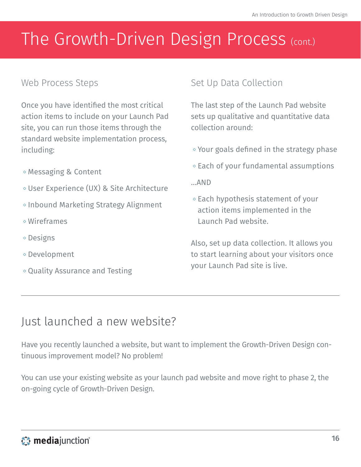#### Web Process Steps

Once you have identified the most critical action items to include on your Launch Pad site, you can run those items through the standard website implementation process, including:

- Messaging & Content
- User Experience (UX) & Site Architecture
- Inbound Marketing Strategy Alignment
- Wireframes
- Designs
- Development
- Quality Assurance and Testing

#### Set Up Data Collection

The last step of the Launch Pad website sets up qualitative and quantitative data collection around:

- Your goals defined in the strategy phase
- $\circ$  Each of your fundamental assumptions
- …AND
- $\circ$  Each hypothesis statement of your action items implemented in the Launch Pad website.

Also, set up data collection. It allows you to start learning about your visitors once your Launch Pad site is live.

#### Just launched a new website?

Have you recently launched a website, but want to implement the Growth-Driven Design continuous improvement model? No problem!

You can use your existing website as your launch pad website and move right to phase 2, the on-going cycle of Growth-Driven Design.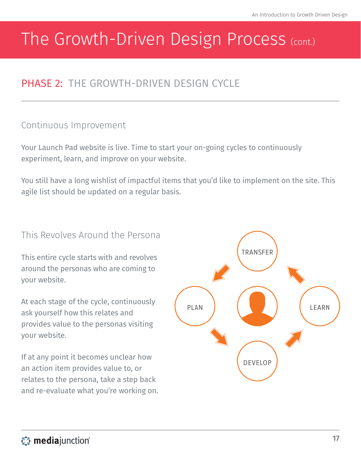#### PHASE 2: THE GROWTH-DRIVEN DESIGN CYCLE

#### Continuous Improvement

Your Launch Pad website is live. Time to start your on-going cycles to continuously experiment, learn, and improve on your website.

You still have a long wishlist of impactful items that you'd like to implement on the site. This agile list should be updated on a regular basis.

#### This Revolves Around the Persona

This entire cycle starts with and revolves around the personas who are coming to your website.

At each stage of the cycle, continuously ask yourself how this relates and provides value to the personas visiting your website.

If at any point it becomes unclear how an action item provides value to, or relates to the persona, take a step back and re-evaluate what you're working on.

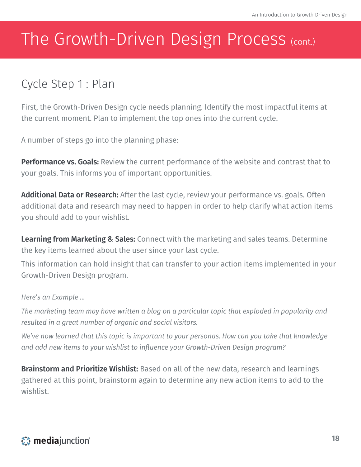### Cycle Step 1 : Plan

First, the Growth-Driven Design cycle needs planning. Identify the most impactful items at the current moment. Plan to implement the top ones into the current cycle.

A number of steps go into the planning phase:

**Performance vs. Goals:** Review the current performance of the website and contrast that to your goals. This informs you of important opportunities.

**Additional Data or Research:** After the last cycle, review your performance vs. goals. Often additional data and research may need to happen in order to help clarify what action items you should add to your wishlist.

**Learning from Marketing & Sales:** Connect with the marketing and sales teams. Determine the key items learned about the user since your last cycle.

This information can hold insight that can transfer to your action items implemented in your Growth-Driven Design program.

#### *Here's an Example ...*

*The marketing team may have written a blog on a particular topic that exploded in popularity and resulted in a great number of organic and social visitors.*

*We've now learned that this topic is important to your personas. How can you take that knowledge and add new items to your wishlist to influence your Growth-Driven Design program?*

**Brainstorm and Prioritize Wishlist:** Based on all of the new data, research and learnings gathered at this point, brainstorm again to determine any new action items to add to the wishlist.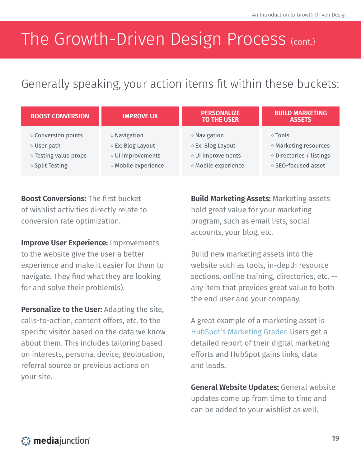### Generally speaking, your action items fit within these buckets:

| <b>BOOST CONVERSION</b>      | <b>IMPROVE UX</b>            | <b>PERSONALIZE</b><br><b>TO THE USER</b> | <b>BUILD MARKETING</b><br><b>ASSETS</b> |
|------------------------------|------------------------------|------------------------------------------|-----------------------------------------|
| $\diamond$ Conversion points | $\diamond$ Navigation        | $\diamond$ Navigation                    | $\circ$ Tools                           |
| $\diamond$ User path         | ◇ Ex: Blog Layout            | ◇ Ex: Blog Layout                        | ◇ Marketing resources                   |
| ◇ Testing value props        | ◇ UI improvements            | ◇ UI improvements                        | ◇ Directories / listings                |
| ◇ Split Testing              | $\diamond$ Mobile experience | $\diamond$ Mobile experience             | ◇ SEO-focused asset                     |

**Boost Conversions:** The first bucket of wishlist activities directly relate to conversion rate optimization.

**Improve User Experience:** Improvements to the website give the user a better experience and make it easier for them to navigate. They find what they are looking for and solve their problem(s).

**Personalize to the User:** Adapting the site, calls-to-action, content offers, etc. to the specific visitor based on the data we know about them. This includes tailoring based on interests, persona, device, geolocation, referral source or previous actions on your site.

**Build Marketing Assets:** Marketing assets hold great value for your marketing program, such as email lists, social accounts, your blog, etc.

Build new marketing assets into the website such as tools, in-depth resource sections, online training, directories, etc. - any item that provides great value to both the end user and your company.

A great example of a marketing asset is [HubSpot's Marketing Grader](https://marketing.grader.com/). Users get a detailed report of their digital marketing efforts and HubSpot gains links, data and leads.

**General Website Updates:** General website updates come up from time to time and can be added to your wishlist as well.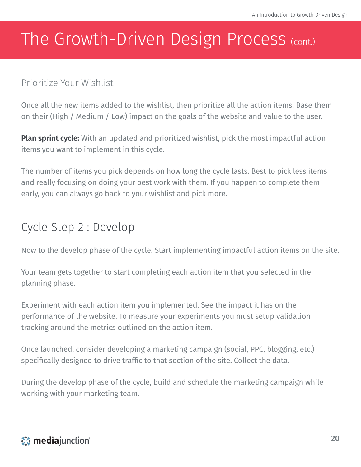#### Prioritize Your Wishlist

Once all the new items added to the wishlist, then prioritize all the action items. Base them on their (High / Medium / Low) impact on the goals of the website and value to the user.

**Plan sprint cycle:** With an updated and prioritized wishlist, pick the most impactful action items you want to implement in this cycle.

The number of items you pick depends on how long the cycle lasts. Best to pick less items and really focusing on doing your best work with them. If you happen to complete them early, you can always go back to your wishlist and pick more.

#### Cycle Step 2 : Develop

Now to the develop phase of the cycle. Start implementing impactful action items on the site.

Your team gets together to start completing each action item that you selected in the planning phase.

Experiment with each action item you implemented. See the impact it has on the performance of the website. To measure your experiments you must setup validation tracking around the metrics outlined on the action item.

Once launched, consider developing a marketing campaign (social, PPC, blogging, etc.) specifically designed to drive traffic to that section of the site. Collect the data.

During the develop phase of the cycle, build and schedule the marketing campaign while working with your marketing team.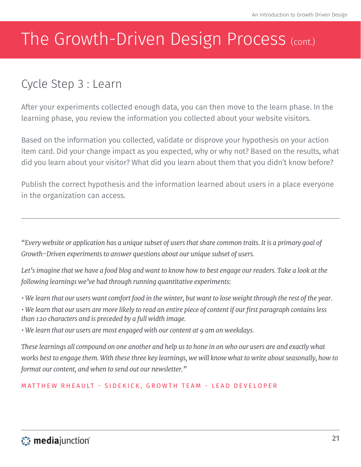### Cycle Step 3 : Learn

After your experiments collected enough data, you can then move to the learn phase. In the learning phase, you review the information you collected about your website visitors.

Based on the information you collected, validate or disprove your hypothesis on your action item card. Did your change impact as you expected, why or why not? Based on the results, what did you learn about your visitor? What did you learn about them that you didn't know before?

Publish the correct hypothesis and the information learned about users in a place everyone in the organization can access.

*"Every website or application has a unique subset of users that share common traits. It is a primary goal of Growth-Driven experiments to answer questions about our unique subset of users.*

*Let's imagine that we have a food blog and want to know how to best engage our readers. Take a look at the following learnings we've had through running quantitative experiments:*

*• We learn that our users want comfort food in the winter, but want to lose weight through the rest of the year.*

*• We learn that our users are more likely to read an entire piece of content if our first paragraph contains less than 120 characters and is preceded by a full width image.*

*• We learn that our users are most engaged with our content at 9 am on weekdays.*

*These learnings all compound on one another and help us to hone in on who our users are and exactly what works best to engage them. With these three key learnings, we will know what to write about seasonally, how to format our content, and when to send out our newsletter."*

MATTHEW RHEAULT - [SIDEKICK](http://www.getsidekick.com/), GROWTH TEAM - LEAD DEVELOPER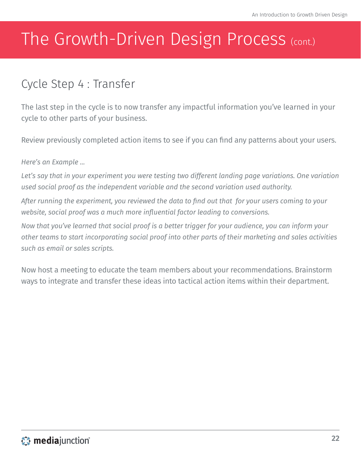### Cycle Step 4 : Transfer

The last step in the cycle is to now transfer any impactful information you've learned in your cycle to other parts of your business.

Review previously completed action items to see if you can find any patterns about your users.

*Here's an Example ...*

*Let's say that in your experiment you were testing two different landing page variations. One variation used social proof as the independent variable and the second variation used authority.*

*After running the experiment, you reviewed the data to find out that for your users coming to your website, social proof was a much more influential factor leading to conversions.*

*Now that you've learned that social proof is a better trigger for your audience, you can inform your other teams to start incorporating social proof into other parts of their marketing and sales activities such as email or sales scripts.*

Now host a meeting to educate the team members about your recommendations. Brainstorm ways to integrate and transfer these ideas into tactical action items within their department.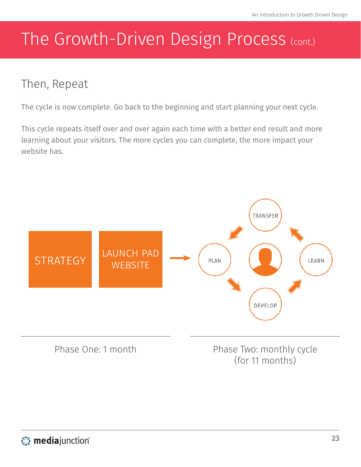### Then, Repeat

The cycle is now complete. Go back to the beginning and start planning your next cycle.

This cycle repeats itself over and over again each time with a better end result and more learning about your visitors. The more cycles you can complete, the more impact your website has.

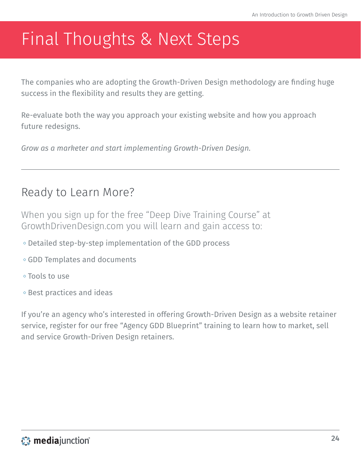## <span id="page-23-0"></span>Final Thoughts & Next Steps

The companies who are adopting the Growth-Driven Design methodology are finding huge success in the flexibility and results they are getting.

Re-evaluate both the way you approach your existing website and how you approach future redesigns.

*Grow as a marketer and start implementing Growth-Driven Design.*

#### Ready to Learn More?

When you sign up for the free ["Deep Dive Training Course](http://hubs.ly/y0XL_F0)" at [GrowthDrivenDesign.com](http://www.growthdrivendesign.com/) you will learn and gain access to:

- Detailed step-by-step implementation of the GDD process
- GDD Templates and documents
- Tools to use
- $\diamond$  Best practices and ideas

If you're an agency who's interested in offering Growth-Driven Design as a website retainer service, register for our free ["Agency GDD Blueprint"](http://www.growthdrivendesign.com/agencies) training to learn how to market, sell and service Growth-Driven Design retainers.